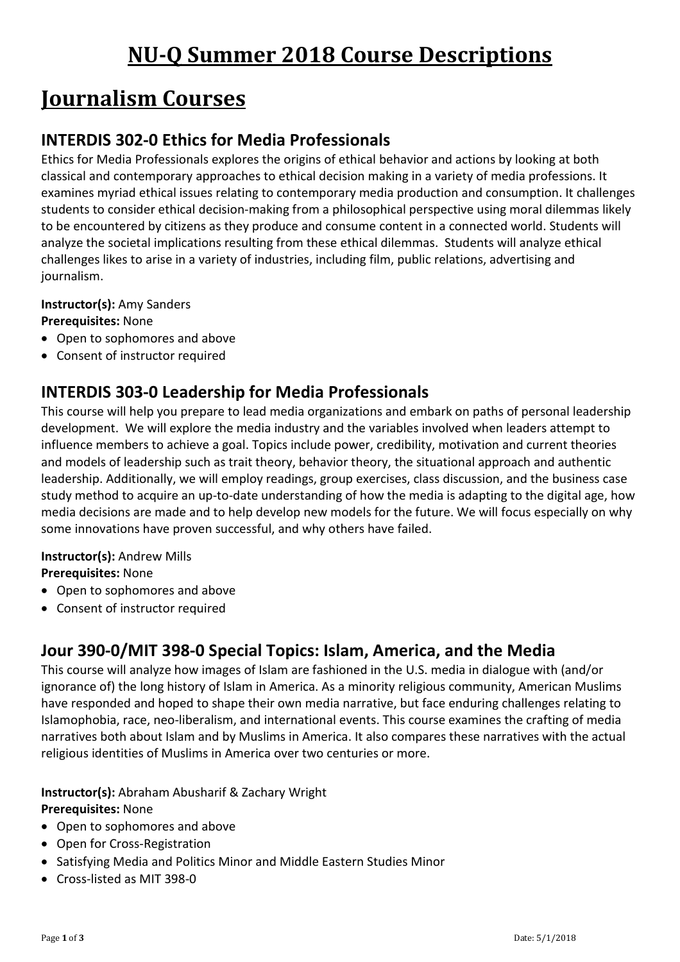# **Journalism Courses**

### **INTERDIS 302-0 Ethics for Media Professionals**

Ethics for Media Professionals explores the origins of ethical behavior and actions by looking at both classical and contemporary approaches to ethical decision making in a variety of media professions. It examines myriad ethical issues relating to contemporary media production and consumption. It challenges students to consider ethical decision-making from a philosophical perspective using moral dilemmas likely to be encountered by citizens as they produce and consume content in a connected world. Students will analyze the societal implications resulting from these ethical dilemmas. Students will analyze ethical challenges likes to arise in a variety of industries, including film, public relations, advertising and journalism.

#### **Instructor(s):** Amy Sanders

#### **Prerequisites:** None

- Open to sophomores and above
- Consent of instructor required

### **INTERDIS 303-0 Leadership for Media Professionals**

This course will help you prepare to lead media organizations and embark on paths of personal leadership development. We will explore the media industry and the variables involved when leaders attempt to influence members to achieve a goal. Topics include power, credibility, motivation and current theories and models of leadership such as trait theory, behavior theory, the situational approach and authentic leadership. Additionally, we will employ readings, group exercises, class discussion, and the business case study method to acquire an up-to-date understanding of how the media is adapting to the digital age, how media decisions are made and to help develop new models for the future. We will focus especially on why some innovations have proven successful, and why others have failed.

#### **Instructor(s):** Andrew Mills **Prerequisites:** None

- Open to sophomores and above
- Consent of instructor required

### **Jour 390-0/MIT 398-0 Special Topics: Islam, America, and the Media**

This course will analyze how images of Islam are fashioned in the U.S. media in dialogue with (and/or ignorance of) the long history of Islam in America. As a minority religious community, American Muslims have responded and hoped to shape their own media narrative, but face enduring challenges relating to Islamophobia, race, neo-liberalism, and international events. This course examines the crafting of media narratives both about Islam and by Muslims in America. It also compares these narratives with the actual religious identities of Muslims in America over two centuries or more.

#### **Instructor(s):** Abraham Abusharif & Zachary Wright

#### **Prerequisites:** None

- Open to sophomores and above
- Open for Cross-Registration
- Satisfying Media and Politics Minor and Middle Eastern Studies Minor
- Cross-listed as MIT 398-0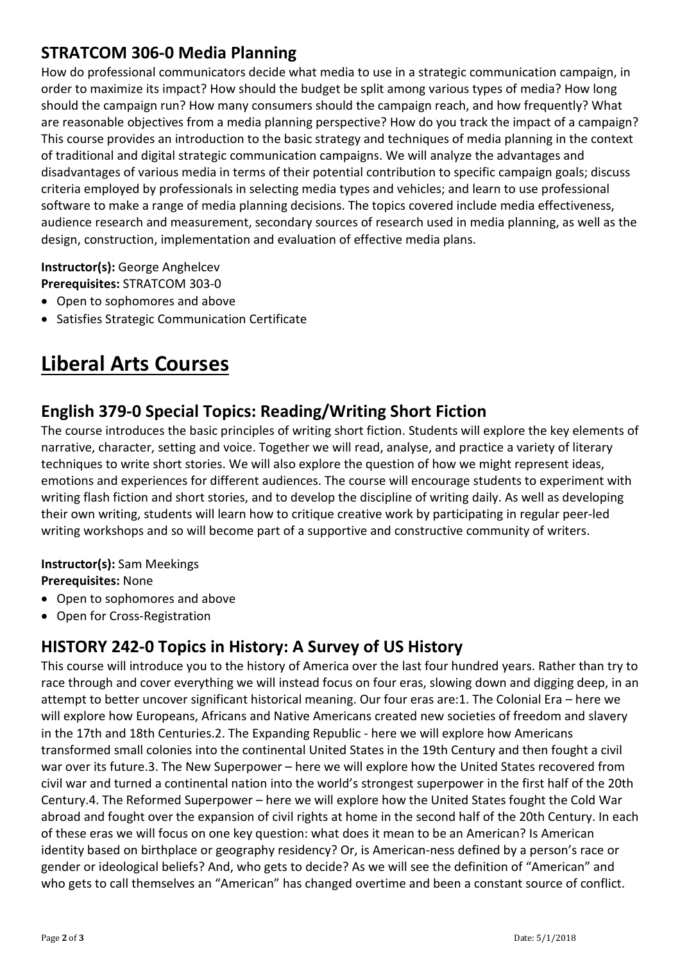### **STRATCOM 306-0 Media Planning**

How do professional communicators decide what media to use in a strategic communication campaign, in order to maximize its impact? How should the budget be split among various types of media? How long should the campaign run? How many consumers should the campaign reach, and how frequently? What are reasonable objectives from a media planning perspective? How do you track the impact of a campaign? This course provides an introduction to the basic strategy and techniques of media planning in the context of traditional and digital strategic communication campaigns. We will analyze the advantages and disadvantages of various media in terms of their potential contribution to specific campaign goals; discuss criteria employed by professionals in selecting media types and vehicles; and learn to use professional software to make a range of media planning decisions. The topics covered include media effectiveness, audience research and measurement, secondary sources of research used in media planning, as well as the design, construction, implementation and evaluation of effective media plans.

### **Instructor(s):** George Anghelcev **Prerequisites:** STRATCOM 303-0

- Open to sophomores and above
- Satisfies Strategic Communication Certificate

## **Liberal Arts Courses**

### **English 379-0 Special Topics: Reading/Writing Short Fiction**

The course introduces the basic principles of writing short fiction. Students will explore the key elements of narrative, character, setting and voice. Together we will read, analyse, and practice a variety of literary techniques to write short stories. We will also explore the question of how we might represent ideas, emotions and experiences for different audiences. The course will encourage students to experiment with writing flash fiction and short stories, and to develop the discipline of writing daily. As well as developing their own writing, students will learn how to critique creative work by participating in regular peer-led writing workshops and so will become part of a supportive and constructive community of writers.

#### **Instructor(s):** Sam Meekings

**Prerequisites:** None

- Open to sophomores and above
- Open for Cross-Registration

### **HISTORY 242-0 Topics in History: A Survey of US History**

This course will introduce you to the history of America over the last four hundred years. Rather than try to race through and cover everything we will instead focus on four eras, slowing down and digging deep, in an attempt to better uncover significant historical meaning. Our four eras are:1. The Colonial Era – here we will explore how Europeans, Africans and Native Americans created new societies of freedom and slavery in the 17th and 18th Centuries.2. The Expanding Republic - here we will explore how Americans transformed small colonies into the continental United States in the 19th Century and then fought a civil war over its future.3. The New Superpower – here we will explore how the United States recovered from civil war and turned a continental nation into the world's strongest superpower in the first half of the 20th Century.4. The Reformed Superpower – here we will explore how the United States fought the Cold War abroad and fought over the expansion of civil rights at home in the second half of the 20th Century. In each of these eras we will focus on one key question: what does it mean to be an American? Is American identity based on birthplace or geography residency? Or, is American-ness defined by a person's race or gender or ideological beliefs? And, who gets to decide? As we will see the definition of "American" and who gets to call themselves an "American" has changed overtime and been a constant source of conflict.